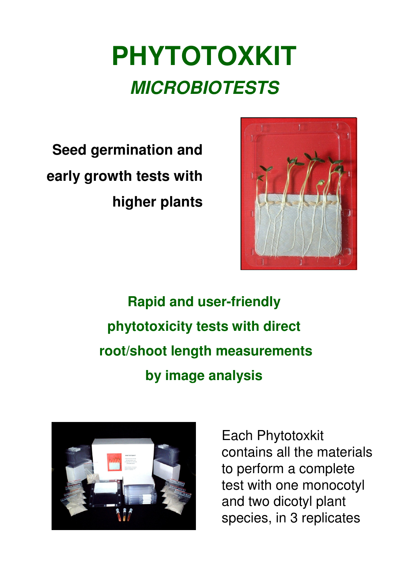# **PHYTOTOXKIT MICROBIOTESTS**

**Seed germination and early growth tests with higher plants**



**Rapid and user-friendly phytotoxicity tests with direct root/shoot length measurements by image analysis**



Each Phytotoxkit contains all the materials to perform a complete test with one monocotyl and two dicotyl plant species, in 3 replicates